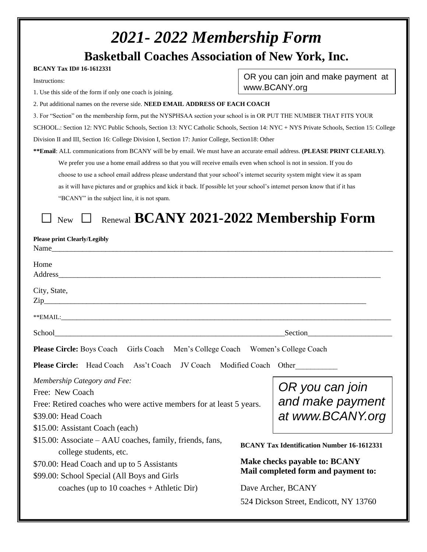| 2021 - 2022 Membership Form                                                                                                                                                                                                            |                                                                             |                                                   |  |  |
|----------------------------------------------------------------------------------------------------------------------------------------------------------------------------------------------------------------------------------------|-----------------------------------------------------------------------------|---------------------------------------------------|--|--|
| <b>Basketball Coaches Association of New York, Inc.</b>                                                                                                                                                                                |                                                                             |                                                   |  |  |
| <b>BCANY Tax ID# 16-1612331</b>                                                                                                                                                                                                        |                                                                             |                                                   |  |  |
| Instructions:                                                                                                                                                                                                                          |                                                                             | OR you can join and make payment at               |  |  |
| 1. Use this side of the form if only one coach is joining.                                                                                                                                                                             |                                                                             | www.BCANY.org                                     |  |  |
| 2. Put additional names on the reverse side. NEED EMAIL ADDRESS OF EACH COACH                                                                                                                                                          |                                                                             |                                                   |  |  |
| 3. For "Section" on the membership form, put the NYSPHSAA section your school is in OR PUT THE NUMBER THAT FITS YOUR                                                                                                                   |                                                                             |                                                   |  |  |
| SCHOOL.: Section 12: NYC Public Schools, Section 13: NYC Catholic Schools, Section 14: NYC + NYS Private Schools, Section 15: College                                                                                                  |                                                                             |                                                   |  |  |
| Division II and III, Section 16: College Division I, Section 17: Junior College, Section 18: Other                                                                                                                                     |                                                                             |                                                   |  |  |
| ** Email: ALL communications from BCANY will be by email. We must have an accurate email address. (PLEASE PRINT CLEARLY).                                                                                                              |                                                                             |                                                   |  |  |
| We prefer you use a home email address so that you will receive emails even when school is not in session. If you do                                                                                                                   |                                                                             |                                                   |  |  |
| choose to use a school email address please understand that your school's internet security system might view it as spam                                                                                                               |                                                                             |                                                   |  |  |
| as it will have pictures and or graphics and kick it back. If possible let your school's internet person know that if it has                                                                                                           |                                                                             |                                                   |  |  |
| "BCANY" in the subject line, it is not spam.                                                                                                                                                                                           |                                                                             |                                                   |  |  |
| Renewal BCANY 2021-2022 Membership Form<br><b>New</b>                                                                                                                                                                                  |                                                                             |                                                   |  |  |
| <b>Please print Clearly/Legibly</b><br>Name                                                                                                                                                                                            |                                                                             |                                                   |  |  |
| Home<br>Address Andreas Address Address Address Andreas Andreas Address Andreas Andreas Address Andreas Andreas Address Andreas Address Andreas Address Andreas Address Andreas Address Andreas Address Andreas Address Andreas Addres |                                                                             |                                                   |  |  |
| City, State,<br>$\operatorname{Zip}\nolimits$                                                                                                                                                                                          |                                                                             |                                                   |  |  |
| **EMAIL:                                                                                                                                                                                                                               |                                                                             |                                                   |  |  |
| School                                                                                                                                                                                                                                 |                                                                             | Section                                           |  |  |
| Girls Coach Men's College Coach Women's College Coach<br><b>Please Circle: Boys Coach</b>                                                                                                                                              |                                                                             |                                                   |  |  |
| Please Circle: Head Coach<br>Modified Coach Other                                                                                                                                                                                      |                                                                             |                                                   |  |  |
| Membership Category and Fee:                                                                                                                                                                                                           |                                                                             | OR you can join                                   |  |  |
| Free: New Coach                                                                                                                                                                                                                        |                                                                             | and make payment                                  |  |  |
| Free: Retired coaches who were active members for at least 5 years.<br>\$39.00: Head Coach                                                                                                                                             |                                                                             |                                                   |  |  |
|                                                                                                                                                                                                                                        |                                                                             | at www.BCANY.org                                  |  |  |
| \$15.00: Assistant Coach (each)                                                                                                                                                                                                        |                                                                             |                                                   |  |  |
| \$15.00: Associate – AAU coaches, family, friends, fans,                                                                                                                                                                               |                                                                             | <b>BCANY Tax Identification Number 16-1612331</b> |  |  |
| college students, etc.<br>\$70.00: Head Coach and up to 5 Assistants                                                                                                                                                                   | <b>Make checks payable to: BCANY</b><br>Mail completed form and payment to: |                                                   |  |  |
| \$99.00: School Special (All Boys and Girls                                                                                                                                                                                            |                                                                             |                                                   |  |  |
| coaches (up to $10$ coaches + Athletic Dir)                                                                                                                                                                                            | Dave Archer, BCANY                                                          |                                                   |  |  |
|                                                                                                                                                                                                                                        |                                                                             | 524 Dickson Street, Endicott, NY 13760            |  |  |
|                                                                                                                                                                                                                                        |                                                                             |                                                   |  |  |